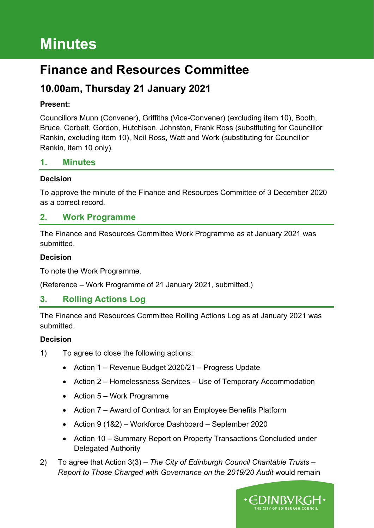# **Minutes**

# **Finance and Resources Committee**

## **10.00am, Thursday 21 January 2021**

#### **Present:**

Councillors Munn (Convener), Griffiths (Vice-Convener) (excluding item 10), Booth, Bruce, Corbett, Gordon, Hutchison, Johnston, Frank Ross (substituting for Councillor Rankin, excluding item 10), Neil Ross, Watt and Work (substituting for Councillor Rankin, item 10 only).

### **1. Minutes**

#### **Decision**

To approve the minute of the Finance and Resources Committee of 3 December 2020 as a correct record.

### **2. Work Programme**

The Finance and Resources Committee Work Programme as at January 2021 was submitted.

#### **Decision**

To note the Work Programme.

(Reference – Work Programme of 21 January 2021, submitted.)

### **3. Rolling Actions Log**

The Finance and Resources Committee Rolling Actions Log as at January 2021 was submitted.

#### **Decision**

- 1) To agree to close the following actions:
	- Action 1 Revenue Budget 2020/21 Progress Update
	- Action 2 Homelessness Services Use of Temporary Accommodation
	- Action 5 Work Programme
	- Action 7 Award of Contract for an Employee Benefits Platform
	- Action 9 (1&2) Workforce Dashboard September 2020
	- Action 10 Summary Report on Property Transactions Concluded under Delegated Authority
- 2) To agree that Action 3(3) *The City of Edinburgh Council Charitable Trusts – Report to Those Charged with Governance on the 2019/20 Audit would remain*

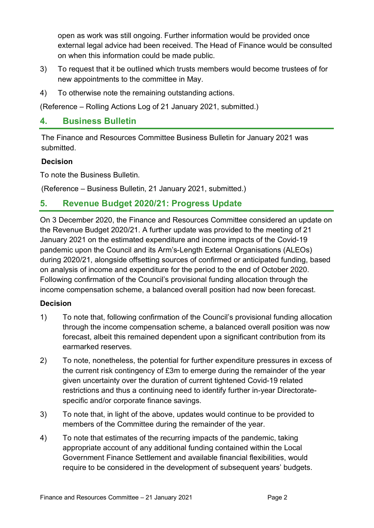open as work was still ongoing. Further information would be provided once external legal advice had been received. The Head of Finance would be consulted on when this information could be made public.

- 3) To request that it be outlined which trusts members would become trustees of for new appointments to the committee in May.
- 4) To otherwise note the remaining outstanding actions.

(Reference – Rolling Actions Log of 21 January 2021, submitted.)

### **4. Business Bulletin**

The Finance and Resources Committee Business Bulletin for January 2021 was submitted.

#### **Decision**

To note the Business Bulletin.

(Reference – Business Bulletin, 21 January 2021, submitted.)

### **5. Revenue Budget 2020/21: Progress Update**

On 3 December 2020, the Finance and Resources Committee considered an update on the Revenue Budget 2020/21. A further update was provided to the meeting of 21 January 2021 on the estimated expenditure and income impacts of the Covid-19 pandemic upon the Council and its Arm's-Length External Organisations (ALEOs) during 2020/21, alongside offsetting sources of confirmed or anticipated funding, based on analysis of income and expenditure for the period to the end of October 2020. Following confirmation of the Council's provisional funding allocation through the income compensation scheme, a balanced overall position had now been forecast.

#### **Decision**

- 1) To note that, following confirmation of the Council's provisional funding allocation through the income compensation scheme, a balanced overall position was now forecast, albeit this remained dependent upon a significant contribution from its earmarked reserves.
- 2) To note, nonetheless, the potential for further expenditure pressures in excess of the current risk contingency of £3m to emerge during the remainder of the year given uncertainty over the duration of current tightened Covid-19 related restrictions and thus a continuing need to identify further in-year Directoratespecific and/or corporate finance savings.
- 3) To note that, in light of the above, updates would continue to be provided to members of the Committee during the remainder of the year.
- 4) To note that estimates of the recurring impacts of the pandemic, taking appropriate account of any additional funding contained within the Local Government Finance Settlement and available financial flexibilities, would require to be considered in the development of subsequent years' budgets.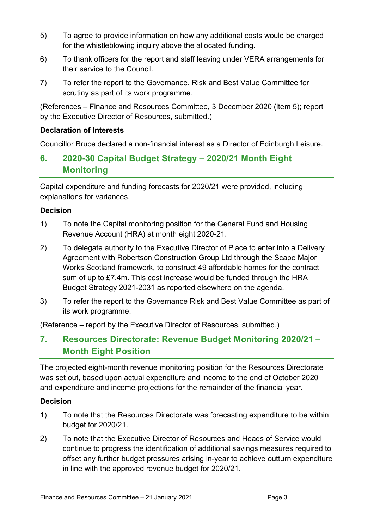- 5) To agree to provide information on how any additional costs would be charged for the whistleblowing inquiry above the allocated funding.
- 6) To thank officers for the report and staff leaving under VERA arrangements for their service to the Council.
- 7) To refer the report to the Governance, Risk and Best Value Committee for scrutiny as part of its work programme.

(References – Finance and Resources Committee, 3 December 2020 (item 5); report by the Executive Director of Resources, submitted.)

### **Declaration of Interests**

Councillor Bruce declared a non-financial interest as a Director of Edinburgh Leisure.

### **6. 2020-30 Capital Budget Strategy – 2020/21 Month Eight Monitoring**

Capital expenditure and funding forecasts for 2020/21 were provided, including explanations for variances.

#### **Decision**

- 1) To note the Capital monitoring position for the General Fund and Housing Revenue Account (HRA) at month eight 2020-21.
- 2) To delegate authority to the Executive Director of Place to enter into a Delivery Agreement with Robertson Construction Group Ltd through the Scape Major Works Scotland framework, to construct 49 affordable homes for the contract sum of up to £7.4m. This cost increase would be funded through the HRA Budget Strategy 2021-2031 as reported elsewhere on the agenda.
- 3) To refer the report to the Governance Risk and Best Value Committee as part of its work programme.

(Reference – report by the Executive Director of Resources, submitted.)

### **7. Resources Directorate: Revenue Budget Monitoring 2020/21 – Month Eight Position**

The projected eight-month revenue monitoring position for the Resources Directorate was set out, based upon actual expenditure and income to the end of October 2020 and expenditure and income projections for the remainder of the financial year.

#### **Decision**

- 1) To note that the Resources Directorate was forecasting expenditure to be within budget for 2020/21.
- 2) To note that the Executive Director of Resources and Heads of Service would continue to progress the identification of additional savings measures required to offset any further budget pressures arising in-year to achieve outturn expenditure in line with the approved revenue budget for 2020/21.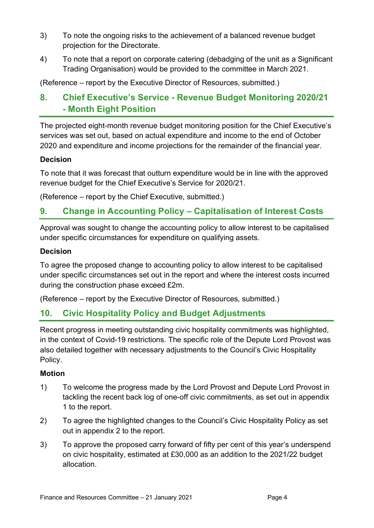- 3) To note the ongoing risks to the achievement of a balanced revenue budget projection for the Directorate.
- 4) To note that a report on corporate catering (debadging of the unit as a Significant Trading Organisation) would be provided to the committee in March 2021.

(Reference – report by the Executive Director of Resources, submitted.)

### **8. Chief Executive's Service - Revenue Budget Monitoring 2020/21 - Month Eight Position**

The projected eight-month revenue budget monitoring position for the Chief Executive's services was set out, based on actual expenditure and income to the end of October 2020 and expenditure and income projections for the remainder of the financial year.

#### **Decision**

To note that it was forecast that outturn expenditure would be in line with the approved revenue budget for the Chief Executive's Service for 2020/21.

(Reference – report by the Chief Executive, submitted.)

### **9. Change in Accounting Policy – Capitalisation of Interest Costs**

Approval was sought to change the accounting policy to allow interest to be capitalised under specific circumstances for expenditure on qualifying assets.

#### **Decision**

To agree the proposed change to accounting policy to allow interest to be capitalised under specific circumstances set out in the report and where the interest costs incurred during the construction phase exceed £2m.

(Reference – report by the Executive Director of Resources, submitted.)

### **10. Civic Hospitality Policy and Budget Adjustments**

Recent progress in meeting outstanding civic hospitality commitments was highlighted, in the context of Covid-19 restrictions. The specific role of the Depute Lord Provost was also detailed together with necessary adjustments to the Council's Civic Hospitality Policy.

### **Motion**

- 1) To welcome the progress made by the Lord Provost and Depute Lord Provost in tackling the recent back log of one-off civic commitments, as set out in appendix 1 to the report.
- 2) To agree the highlighted changes to the Council's Civic Hospitality Policy as set out in appendix 2 to the report.
- 3) To approve the proposed carry forward of fifty per cent of this year's underspend on civic hospitality, estimated at £30,000 as an addition to the 2021/22 budget allocation.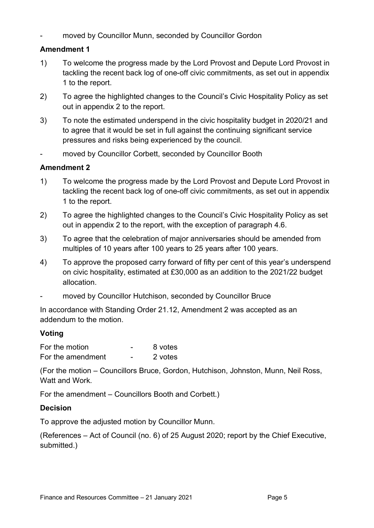moved by Councillor Munn, seconded by Councillor Gordon

### **Amendment 1**

- 1) To welcome the progress made by the Lord Provost and Depute Lord Provost in tackling the recent back log of one-off civic commitments, as set out in appendix 1 to the report.
- 2) To agree the highlighted changes to the Council's Civic Hospitality Policy as set out in appendix 2 to the report.
- 3) To note the estimated underspend in the civic hospitality budget in 2020/21 and to agree that it would be set in full against the continuing significant service pressures and risks being experienced by the council.
- moved by Councillor Corbett, seconded by Councillor Booth

### **Amendment 2**

- 1) To welcome the progress made by the Lord Provost and Depute Lord Provost in tackling the recent back log of one-off civic commitments, as set out in appendix 1 to the report.
- 2) To agree the highlighted changes to the Council's Civic Hospitality Policy as set out in appendix 2 to the report, with the exception of paragraph 4.6.
- 3) To agree that the celebration of major anniversaries should be amended from multiples of 10 years after 100 years to 25 years after 100 years.
- 4) To approve the proposed carry forward of fifty per cent of this year's underspend on civic hospitality, estimated at £30,000 as an addition to the 2021/22 budget allocation.
- moved by Councillor Hutchison, seconded by Councillor Bruce

In accordance with Standing Order 21.12, Amendment 2 was accepted as an addendum to the motion.

### **Voting**

| For the motion    | 8 votes |
|-------------------|---------|
| For the amendment | 2 votes |

(For the motion – Councillors Bruce, Gordon, Hutchison, Johnston, Munn, Neil Ross, Watt and Work.

For the amendment – Councillors Booth and Corbett.)

### **Decision**

To approve the adjusted motion by Councillor Munn.

(References – Act of Council (no. 6) of 25 August 2020; report by the Chief Executive, submitted.)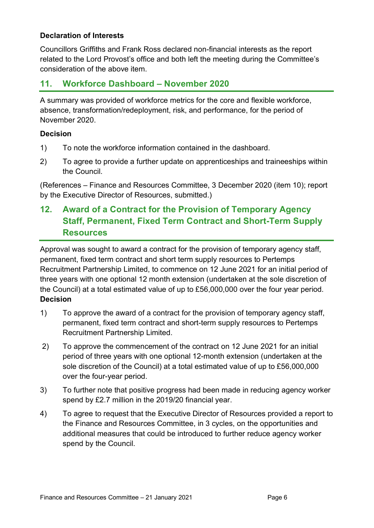#### **Declaration of Interests**

Councillors Griffiths and Frank Ross declared non-financial interests as the report related to the Lord Provost's office and both left the meeting during the Committee's consideration of the above item.

### **11. Workforce Dashboard – November 2020**

A summary was provided of workforce metrics for the core and flexible workforce, absence, transformation/redeployment, risk, and performance, for the period of November 2020.

#### **Decision**

- 1) To note the workforce information contained in the dashboard.
- 2) To agree to provide a further update on apprenticeships and traineeships within the Council.

(References – Finance and Resources Committee, 3 December 2020 (item 10); report by the Executive Director of Resources, submitted.)

### **12. Award of a Contract for the Provision of Temporary Agency Staff, Permanent, Fixed Term Contract and Short-Term Supply Resources**

Approval was sought to award a contract for the provision of temporary agency staff, permanent, fixed term contract and short term supply resources to Pertemps Recruitment Partnership Limited, to commence on 12 June 2021 for an initial period of three years with one optional 12 month extension (undertaken at the sole discretion of the Council) at a total estimated value of up to £56,000,000 over the four year period. **Decision**

- 1) To approve the award of a contract for the provision of temporary agency staff, permanent, fixed term contract and short-term supply resources to Pertemps Recruitment Partnership Limited.
- 2) To approve the commencement of the contract on 12 June 2021 for an initial period of three years with one optional 12-month extension (undertaken at the sole discretion of the Council) at a total estimated value of up to £56,000,000 over the four-year period.
- 3) To further note that positive progress had been made in reducing agency worker spend by £2.7 million in the 2019/20 financial year.
- 4) To agree to request that the Executive Director of Resources provided a report to the Finance and Resources Committee, in 3 cycles, on the opportunities and additional measures that could be introduced to further reduce agency worker spend by the Council.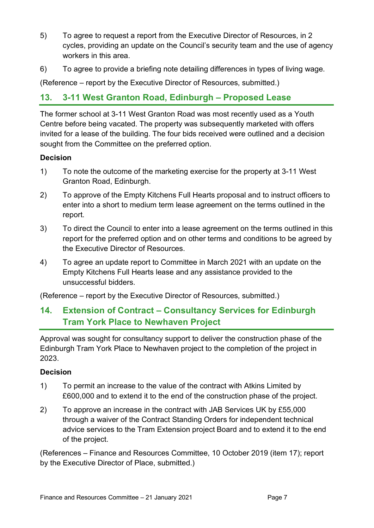- 5) To agree to request a report from the Executive Director of Resources, in 2 cycles, providing an update on the Council's security team and the use of agency workers in this area.
- 6) To agree to provide a briefing note detailing differences in types of living wage.

(Reference – report by the Executive Director of Resources, submitted.)

### **13. 3-11 West Granton Road, Edinburgh – Proposed Lease**

The former school at 3-11 West Granton Road was most recently used as a Youth Centre before being vacated. The property was subsequently marketed with offers invited for a lease of the building. The four bids received were outlined and a decision sought from the Committee on the preferred option.

#### **Decision**

- 1) To note the outcome of the marketing exercise for the property at 3-11 West Granton Road, Edinburgh.
- 2) To approve of the Empty Kitchens Full Hearts proposal and to instruct officers to enter into a short to medium term lease agreement on the terms outlined in the report.
- 3) To direct the Council to enter into a lease agreement on the terms outlined in this report for the preferred option and on other terms and conditions to be agreed by the Executive Director of Resources.
- 4) To agree an update report to Committee in March 2021 with an update on the Empty Kitchens Full Hearts lease and any assistance provided to the unsuccessful bidders.

(Reference – report by the Executive Director of Resources, submitted.)

### **14. Extension of Contract – Consultancy Services for Edinburgh Tram York Place to Newhaven Project**

Approval was sought for consultancy support to deliver the construction phase of the Edinburgh Tram York Place to Newhaven project to the completion of the project in 2023.

### **Decision**

- 1) To permit an increase to the value of the contract with Atkins Limited by £600,000 and to extend it to the end of the construction phase of the project.
- 2) To approve an increase in the contract with JAB Services UK by £55,000 through a waiver of the Contract Standing Orders for independent technical advice services to the Tram Extension project Board and to extend it to the end of the project.

(References – Finance and Resources Committee, 10 October 2019 (item 17); report by the Executive Director of Place, submitted.)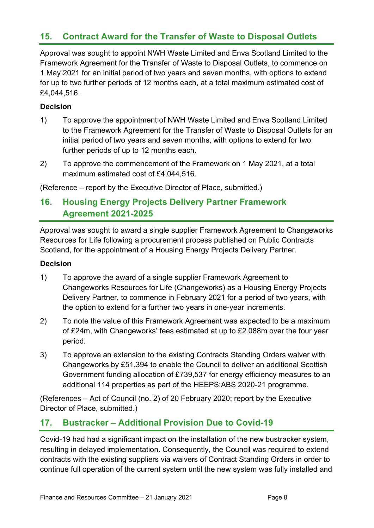### **15. Contract Award for the Transfer of Waste to Disposal Outlets**

Approval was sought to appoint NWH Waste Limited and Enva Scotland Limited to the Framework Agreement for the Transfer of Waste to Disposal Outlets, to commence on 1 May 2021 for an initial period of two years and seven months, with options to extend for up to two further periods of 12 months each, at a total maximum estimated cost of £4,044,516.

#### **Decision**

- 1) To approve the appointment of NWH Waste Limited and Enva Scotland Limited to the Framework Agreement for the Transfer of Waste to Disposal Outlets for an initial period of two years and seven months, with options to extend for two further periods of up to 12 months each.
- 2) To approve the commencement of the Framework on 1 May 2021, at a total maximum estimated cost of £4,044,516.

(Reference – report by the Executive Director of Place, submitted.)

### **16. Housing Energy Projects Delivery Partner Framework Agreement 2021-2025**

Approval was sought to award a single supplier Framework Agreement to Changeworks Resources for Life following a procurement process published on Public Contracts Scotland, for the appointment of a Housing Energy Projects Delivery Partner.

#### **Decision**

- 1) To approve the award of a single supplier Framework Agreement to Changeworks Resources for Life (Changeworks) as a Housing Energy Projects Delivery Partner, to commence in February 2021 for a period of two years, with the option to extend for a further two years in one-year increments.
- 2) To note the value of this Framework Agreement was expected to be a maximum of £24m, with Changeworks' fees estimated at up to £2.088m over the four year period.
- 3) To approve an extension to the existing Contracts Standing Orders waiver with Changeworks by £51,394 to enable the Council to deliver an additional Scottish Government funding allocation of £739,537 for energy efficiency measures to an additional 114 properties as part of the HEEPS:ABS 2020-21 programme.

(References – Act of Council (no. 2) of 20 February 2020; report by the Executive Director of Place, submitted.)

### **17. Bustracker – Additional Provision Due to Covid-19**

Covid-19 had had a significant impact on the installation of the new bustracker system, resulting in delayed implementation. Consequently, the Council was required to extend contracts with the existing suppliers via waivers of Contract Standing Orders in order to continue full operation of the current system until the new system was fully installed and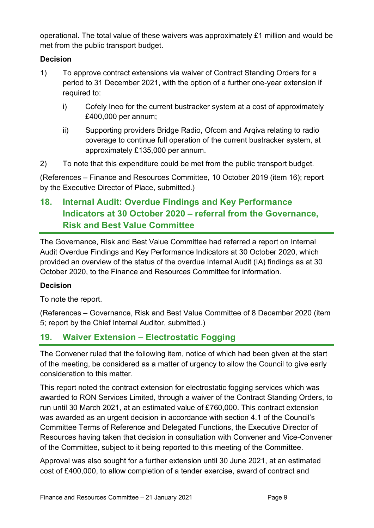operational. The total value of these waivers was approximately £1 million and would be met from the public transport budget.

### **Decision**

- 1) To approve contract extensions via waiver of Contract Standing Orders for a period to 31 December 2021, with the option of a further one-year extension if required to:
	- i) Cofely Ineo for the current bustracker system at a cost of approximately £400,000 per annum;
	- ii) Supporting providers Bridge Radio, Ofcom and Arqiva relating to radio coverage to continue full operation of the current bustracker system, at approximately £135,000 per annum.
- 2) To note that this expenditure could be met from the public transport budget.

(References – Finance and Resources Committee, 10 October 2019 (item 16); report by the Executive Director of Place, submitted.)

### **18. Internal Audit: Overdue Findings and Key Performance Indicators at 30 October 2020 – referral from the Governance, Risk and Best Value Committee**

The Governance, Risk and Best Value Committee had referred a report on Internal Audit Overdue Findings and Key Performance Indicators at 30 October 2020, which provided an overview of the status of the overdue Internal Audit (IA) findings as at 30 October 2020, to the Finance and Resources Committee for information.

### **Decision**

To note the report.

(References – Governance, Risk and Best Value Committee of 8 December 2020 (item 5; report by the Chief Internal Auditor, submitted.)

### **19. Waiver Extension – Electrostatic Fogging**

The Convener ruled that the following item, notice of which had been given at the start of the meeting, be considered as a matter of urgency to allow the Council to give early consideration to this matter.

This report noted the contract extension for electrostatic fogging services which was awarded to RON Services Limited, through a waiver of the Contract Standing Orders, to run until 30 March 2021, at an estimated value of £760,000. This contract extension was awarded as an urgent decision in accordance with section 4.1 of the Council's Committee Terms of Reference and Delegated Functions, the Executive Director of Resources having taken that decision in consultation with Convener and Vice-Convener of the Committee, subject to it being reported to this meeting of the Committee.

Approval was also sought for a further extension until 30 June 2021, at an estimated cost of £400,000, to allow completion of a tender exercise, award of contract and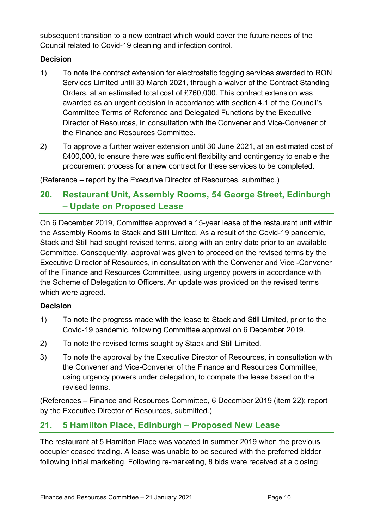subsequent transition to a new contract which would cover the future needs of the Council related to Covid-19 cleaning and infection control.

### **Decision**

- 1) To note the contract extension for electrostatic fogging services awarded to RON Services Limited until 30 March 2021, through a waiver of the Contract Standing Orders, at an estimated total cost of £760,000. This contract extension was awarded as an urgent decision in accordance with section 4.1 of the Council's Committee Terms of Reference and Delegated Functions by the Executive Director of Resources, in consultation with the Convener and Vice-Convener of the Finance and Resources Committee.
- 2) To approve a further waiver extension until 30 June 2021, at an estimated cost of £400,000, to ensure there was sufficient flexibility and contingency to enable the procurement process for a new contract for these services to be completed.

(Reference – report by the Executive Director of Resources, submitted.)

### **20. Restaurant Unit, Assembly Rooms, 54 George Street, Edinburgh – Update on Proposed Lease**

On 6 December 2019, Committee approved a 15-year lease of the restaurant unit within the Assembly Rooms to Stack and Still Limited. As a result of the Covid-19 pandemic, Stack and Still had sought revised terms, along with an entry date prior to an available Committee. Consequently, approval was given to proceed on the revised terms by the Executive Director of Resources, in consultation with the Convener and Vice -Convener of the Finance and Resources Committee, using urgency powers in accordance with the Scheme of Delegation to Officers. An update was provided on the revised terms which were agreed.

### **Decision**

- 1) To note the progress made with the lease to Stack and Still Limited, prior to the Covid-19 pandemic, following Committee approval on 6 December 2019.
- 2) To note the revised terms sought by Stack and Still Limited.
- 3) To note the approval by the Executive Director of Resources, in consultation with the Convener and Vice-Convener of the Finance and Resources Committee, using urgency powers under delegation, to compete the lease based on the revised terms.

(References – Finance and Resources Committee, 6 December 2019 (item 22); report by the Executive Director of Resources, submitted.)

### **21. 5 Hamilton Place, Edinburgh – Proposed New Lease**

The restaurant at 5 Hamilton Place was vacated in summer 2019 when the previous occupier ceased trading. A lease was unable to be secured with the preferred bidder following initial marketing. Following re-marketing, 8 bids were received at a closing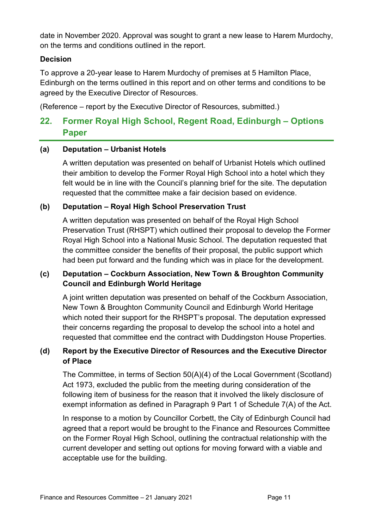date in November 2020. Approval was sought to grant a new lease to Harem Murdochy, on the terms and conditions outlined in the report.

#### **Decision**

To approve a 20-year lease to Harem Murdochy of premises at 5 Hamilton Place, Edinburgh on the terms outlined in this report and on other terms and conditions to be agreed by the Executive Director of Resources.

(Reference – report by the Executive Director of Resources, submitted.)

### **22. Former Royal High School, Regent Road, Edinburgh – Options Paper**

#### **(a) Deputation – Urbanist Hotels**

A written deputation was presented on behalf of Urbanist Hotels which outlined their ambition to develop the Former Royal High School into a hotel which they felt would be in line with the Council's planning brief for the site. The deputation requested that the committee make a fair decision based on evidence.

#### **(b) Deputation – Royal High School Preservation Trust**

A written deputation was presented on behalf of the Royal High School Preservation Trust (RHSPT) which outlined their proposal to develop the Former Royal High School into a National Music School. The deputation requested that the committee consider the benefits of their proposal, the public support which had been put forward and the funding which was in place for the development.

#### **(c) Deputation – Cockburn Association, New Town & Broughton Community Council and Edinburgh World Heritage**

A joint written deputation was presented on behalf of the Cockburn Association, New Town & Broughton Community Council and Edinburgh World Heritage which noted their support for the RHSPT's proposal. The deputation expressed their concerns regarding the proposal to develop the school into a hotel and requested that committee end the contract with Duddingston House Properties.

### **(d) Report by the Executive Director of Resources and the Executive Director of Place**

The Committee, in terms of Section 50(A)(4) of the Local Government (Scotland) Act 1973, excluded the public from the meeting during consideration of the following item of business for the reason that it involved the likely disclosure of exempt information as defined in Paragraph 9 Part 1 of Schedule 7(A) of the Act.

In response to a motion by Councillor Corbett, the City of Edinburgh Council had agreed that a report would be brought to the Finance and Resources Committee on the Former Royal High School, outlining the contractual relationship with the current developer and setting out options for moving forward with a viable and acceptable use for the building.